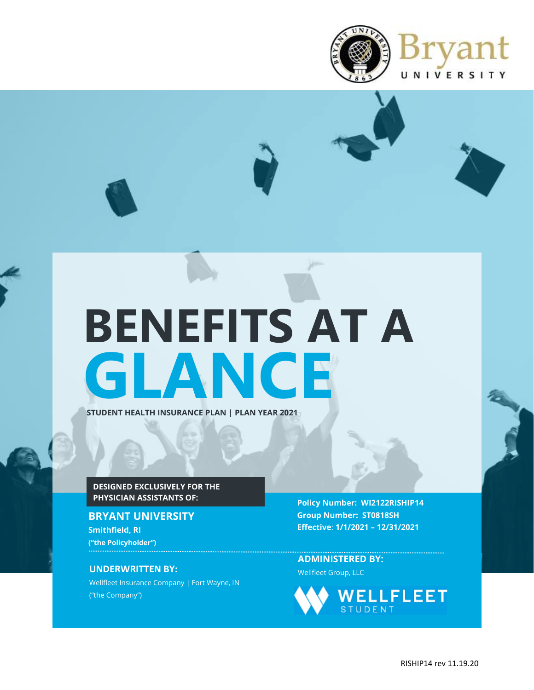

# **GLANCE STUDENT HEALTH INSURANCE PLAN | PLAN YEAR 2021 BENEFITS AT A**

## **DESIGNED EXCLUSIVELY FOR THE PHYSICIAN ASSISTANTS OF:**

## **BRYANT UNIVERSITY Smithfield, RI ("the Policyholder")**

Wellfleet Insurance Company | Fort Wayne, IN ("the Company")

**Policy Number: WI2122RISHIP14 Group Number: ST0818SH Effective**: **1/1/2021 – 12/31/2021**

**ADMINISTERED BY: UNDERWRITTEN BY:** Wellfleet Group, LLC

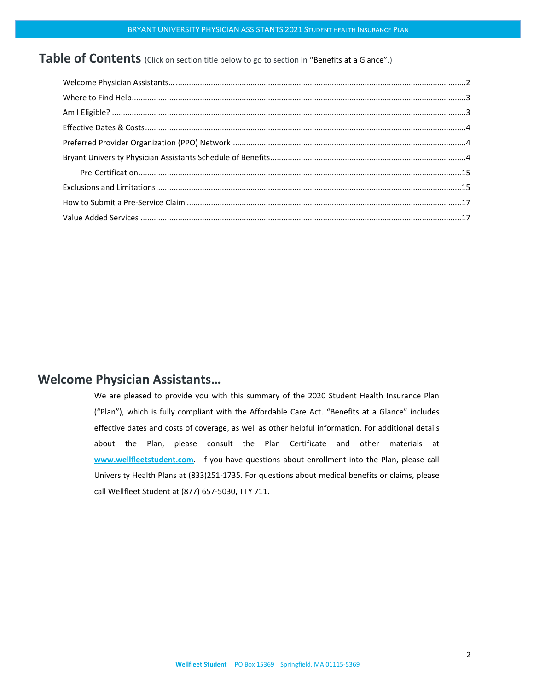# Table of Contents (Click on section title below to go to section in "Benefits at a Glance".)

## <span id="page-1-0"></span>**Welcome Physician Assistants…**

We are pleased to provide you with this summary of the 2020 Student Health Insurance Plan ("Plan"), which is fully compliant with the Affordable Care Act. "Benefits at a Glance" includes effective dates and costs of coverage, as well as other helpful information. For additional details about the Plan, please consult the Plan Certificate and other materials at **[www.wellfleetstudent.com](http://www.chpstudenthealth.com/)**. If you have questions about enrollment into the Plan, please call University Health Plans at (833)251-1735. For questions about medical benefits or claims, please call Wellfleet Student at (877) 657-5030, TTY 711.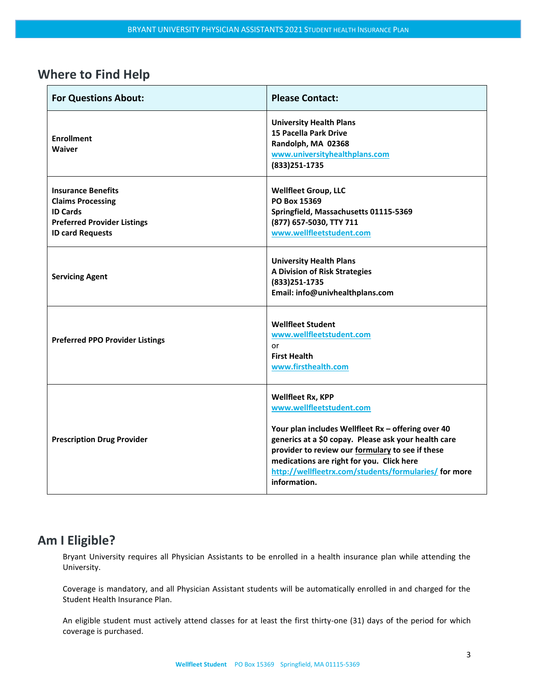## <span id="page-2-0"></span>**Where to Find Help**

| <b>For Questions About:</b>                                                                                                               | <b>Please Contact:</b>                                                                                                                                                                                                                                                                                                                |
|-------------------------------------------------------------------------------------------------------------------------------------------|---------------------------------------------------------------------------------------------------------------------------------------------------------------------------------------------------------------------------------------------------------------------------------------------------------------------------------------|
| <b>Enrollment</b><br>Waiver                                                                                                               | <b>University Health Plans</b><br><b>15 Pacella Park Drive</b><br>Randolph, MA 02368<br>www.universityhealthplans.com<br>(833) 251-1735                                                                                                                                                                                               |
| <b>Insurance Benefits</b><br><b>Claims Processing</b><br><b>ID Cards</b><br><b>Preferred Provider Listings</b><br><b>ID card Requests</b> | <b>Wellfleet Group, LLC</b><br>PO Box 15369<br>Springfield, Massachusetts 01115-5369<br>(877) 657-5030, TTY 711<br>www.wellfleetstudent.com                                                                                                                                                                                           |
| <b>Servicing Agent</b>                                                                                                                    | <b>University Health Plans</b><br>A Division of Risk Strategies<br>(833) 251-1735<br>Email: info@univhealthplans.com                                                                                                                                                                                                                  |
| <b>Preferred PPO Provider Listings</b>                                                                                                    | <b>Wellfleet Student</b><br>www.wellfleetstudent.com<br>or<br><b>First Health</b><br>www.firsthealth.com                                                                                                                                                                                                                              |
| <b>Prescription Drug Provider</b>                                                                                                         | Wellfleet Rx, KPP<br>www.wellfleetstudent.com<br>Your plan includes Wellfleet Rx - offering over 40<br>generics at a \$0 copay. Please ask your health care<br>provider to review our formulary to see if these<br>medications are right for you. Click here<br>http://wellfleetrx.com/students/formularies/ for more<br>information. |

# <span id="page-2-1"></span>**Am I Eligible?**

Bryant University requires all Physician Assistants to be enrolled in a health insurance plan while attending the University.

Coverage is mandatory, and all Physician Assistant students will be automatically enrolled in and charged for the Student Health Insurance Plan.

An eligible student must actively attend classes for at least the first thirty-one (31) days of the period for which coverage is purchased.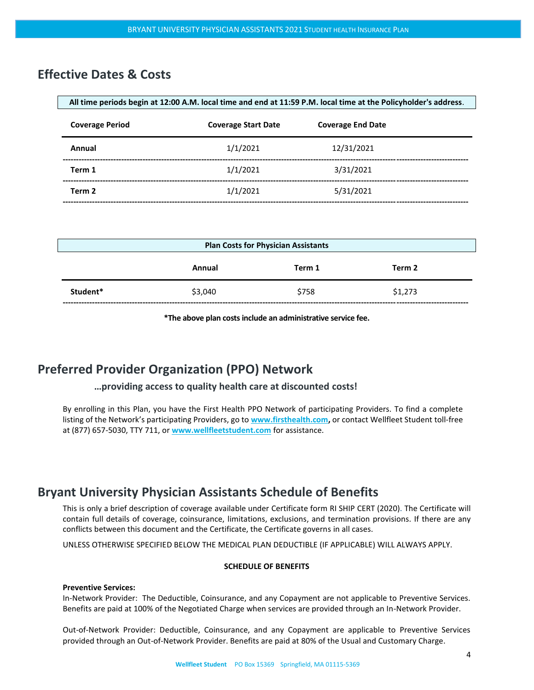## <span id="page-3-0"></span>**Effective Dates & Costs**

| All time periods begin at 12:00 A.M. local time and end at 11:59 P.M. local time at the Policyholder's address. |                            |                          |  |
|-----------------------------------------------------------------------------------------------------------------|----------------------------|--------------------------|--|
| <b>Coverage Period</b>                                                                                          | <b>Coverage Start Date</b> | <b>Coverage End Date</b> |  |
| Annual                                                                                                          | 1/1/2021                   | 12/31/2021               |  |
| Term 1                                                                                                          | 1/1/2021                   | 3/31/2021                |  |
| Term 2                                                                                                          | 1/1/2021                   | 5/31/2021                |  |
|                                                                                                                 |                            |                          |  |

| <b>Plan Costs for Physician Assistants</b> |         |        |         |  |
|--------------------------------------------|---------|--------|---------|--|
|                                            | Annual  | Term 1 | Term 2  |  |
| Student*                                   | \$3,040 | \$758  | \$1,273 |  |

**\*The above plan costsinclude an administrative service fee.**

## <span id="page-3-1"></span>**Preferred Provider Organization (PPO) Network**

#### **…providing access to quality health care at discounted costs!**

By enrolling in this Plan, you have the First Health PPO Network of participating Providers. To find a complete listing of the Network's participating Providers, go to **[www.firsthealth.com,](http://www.firsthealth.com/)** or contact Wellfleet Student toll-free at (877) 657-5030, TTY 711, or **[www.wellfleetstudent.com](http://www.chpstudenthealth.com/)** for assistance.

## <span id="page-3-2"></span>**Bryant University Physician Assistants Schedule of Benefits**

This is only a brief description of coverage available under Certificate form RI SHIP CERT (2020). The Certificate will contain full details of coverage, coinsurance, limitations, exclusions, and termination provisions. If there are any conflicts between this document and the Certificate, the Certificate governs in all cases.

UNLESS OTHERWISE SPECIFIED BELOW THE MEDICAL PLAN DEDUCTIBLE (IF APPLICABLE) WILL ALWAYS APPLY.

#### **SCHEDULE OF BENEFITS**

#### **Preventive Services:**

In-Network Provider: The Deductible, Coinsurance, and any Copayment are not applicable to Preventive Services. Benefits are paid at 100% of the Negotiated Charge when services are provided through an In-Network Provider.

Out-of-Network Provider: Deductible, Coinsurance, and any Copayment are applicable to Preventive Services provided through an Out-of-Network Provider. Benefits are paid at 80% of the Usual and Customary Charge.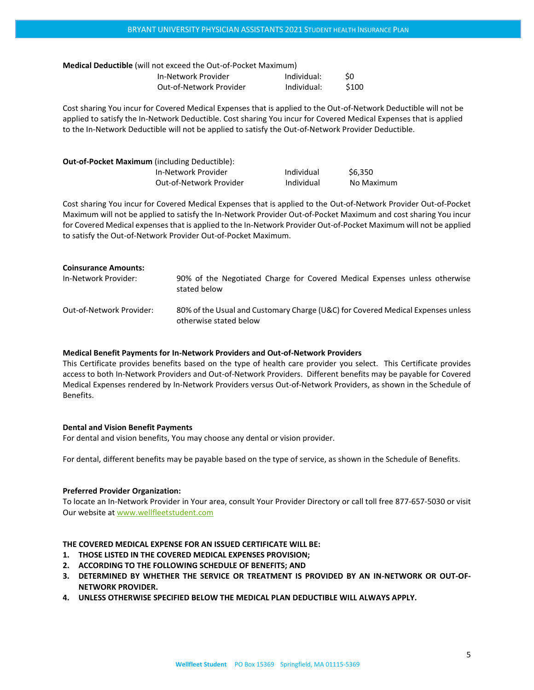| <b>Medical Deductible</b> (will not exceed the Out-of-Pocket Maximum) |                         |             |       |
|-----------------------------------------------------------------------|-------------------------|-------------|-------|
|                                                                       | In-Network Provider     | Individual: | SO.   |
|                                                                       | Out-of-Network Provider | Individual: | \$100 |

Cost sharing You incur for Covered Medical Expenses that is applied to the Out-of-Network Deductible will not be applied to satisfy the In-Network Deductible. Cost sharing You incur for Covered Medical Expenses that is applied to the In-Network Deductible will not be applied to satisfy the Out-of-Network Provider Deductible.

| <b>Out-of-Pocket Maximum</b> (including Deductible): |                         |            |            |
|------------------------------------------------------|-------------------------|------------|------------|
|                                                      | In-Network Provider     | Individual | \$6.350    |
|                                                      | Out-of-Network Provider | Individual | No Maximum |

Cost sharing You incur for Covered Medical Expenses that is applied to the Out-of-Network Provider Out-of-Pocket Maximum will not be applied to satisfy the In-Network Provider Out-of-Pocket Maximum and cost sharing You incur for Covered Medical expenses that is applied to the In-Network Provider Out-of-Pocket Maximum will not be applied to satisfy the Out-of-Network Provider Out-of-Pocket Maximum.

| <b>Coinsurance Amounts:</b> |                                                                                                           |
|-----------------------------|-----------------------------------------------------------------------------------------------------------|
| In-Network Provider:        | 90% of the Negotiated Charge for Covered Medical Expenses unless otherwise<br>stated below                |
| Out-of-Network Provider:    | 80% of the Usual and Customary Charge (U&C) for Covered Medical Expenses unless<br>otherwise stated below |

#### **Medical Benefit Payments for In-Network Providers and Out-of-Network Providers**

This Certificate provides benefits based on the type of health care provider you select. This Certificate provides access to both In-Network Providers and Out-of-Network Providers. Different benefits may be payable for Covered Medical Expenses rendered by In-Network Providers versus Out-of-Network Providers, as shown in the Schedule of Benefits.

#### **Dental and Vision Benefit Payments**

For dental and vision benefits, You may choose any dental or vision provider.

For dental, different benefits may be payable based on the type of service, as shown in the Schedule of Benefits.

#### **Preferred Provider Organization:**

To locate an In-Network Provider in Your area, consult Your Provider Directory or call toll free 877-657-5030 or visit Our website at [www.wellfleetstudent.com](http://www.wellfleetstudent.com/)

#### **THE COVERED MEDICAL EXPENSE FOR AN ISSUED CERTIFICATE WILL BE:**

- **1. THOSE LISTED IN THE COVERED MEDICAL EXPENSES PROVISION;**
- **2. ACCORDING TO THE FOLLOWING SCHEDULE OF BENEFITS; AND**
- **3. DETERMINED BY WHETHER THE SERVICE OR TREATMENT IS PROVIDED BY AN IN-NETWORK OR OUT-OF-NETWORK PROVIDER.**
- **4. UNLESS OTHERWISE SPECIFIED BELOW THE MEDICAL PLAN DEDUCTIBLE WILL ALWAYS APPLY.**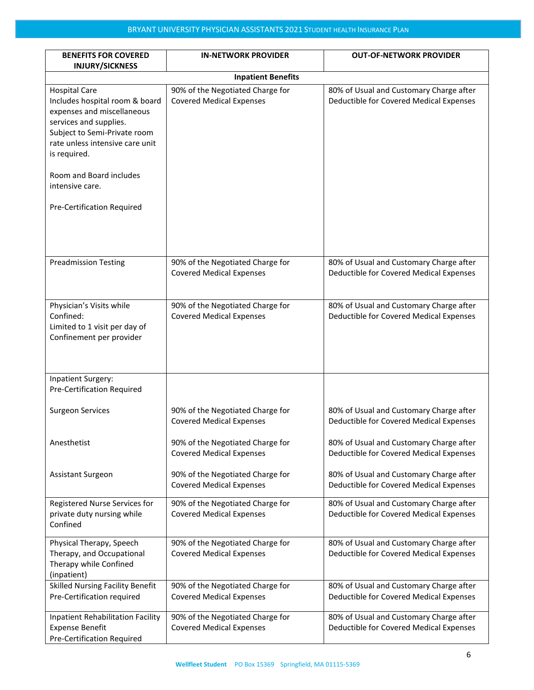| <b>BENEFITS FOR COVERED</b><br><b>INJURY/SICKNESS</b>                                                                                                                                                                                                                         | <b>IN-NETWORK PROVIDER</b>                                          | <b>OUT-OF-NETWORK PROVIDER</b>                                                     |  |  |
|-------------------------------------------------------------------------------------------------------------------------------------------------------------------------------------------------------------------------------------------------------------------------------|---------------------------------------------------------------------|------------------------------------------------------------------------------------|--|--|
|                                                                                                                                                                                                                                                                               | <b>Inpatient Benefits</b>                                           |                                                                                    |  |  |
| <b>Hospital Care</b><br>Includes hospital room & board<br>expenses and miscellaneous<br>services and supplies.<br>Subject to Semi-Private room<br>rate unless intensive care unit<br>is required.<br>Room and Board includes<br>intensive care.<br>Pre-Certification Required | 90% of the Negotiated Charge for<br><b>Covered Medical Expenses</b> | 80% of Usual and Customary Charge after<br>Deductible for Covered Medical Expenses |  |  |
| <b>Preadmission Testing</b>                                                                                                                                                                                                                                                   | 90% of the Negotiated Charge for<br><b>Covered Medical Expenses</b> | 80% of Usual and Customary Charge after<br>Deductible for Covered Medical Expenses |  |  |
| Physician's Visits while<br>Confined:<br>Limited to 1 visit per day of<br>Confinement per provider                                                                                                                                                                            | 90% of the Negotiated Charge for<br><b>Covered Medical Expenses</b> | 80% of Usual and Customary Charge after<br>Deductible for Covered Medical Expenses |  |  |
| Inpatient Surgery:<br>Pre-Certification Required                                                                                                                                                                                                                              |                                                                     |                                                                                    |  |  |
| <b>Surgeon Services</b>                                                                                                                                                                                                                                                       | 90% of the Negotiated Charge for<br><b>Covered Medical Expenses</b> | 80% of Usual and Customary Charge after<br>Deductible for Covered Medical Expenses |  |  |
| Anesthetist                                                                                                                                                                                                                                                                   | 90% of the Negotiated Charge for<br><b>Covered Medical Expenses</b> | 80% of Usual and Customary Charge after<br>Deductible for Covered Medical Expenses |  |  |
| Assistant Surgeon                                                                                                                                                                                                                                                             | 90% of the Negotiated Charge for<br><b>Covered Medical Expenses</b> | 80% of Usual and Customary Charge after<br>Deductible for Covered Medical Expenses |  |  |
| Registered Nurse Services for<br>private duty nursing while<br>Confined                                                                                                                                                                                                       | 90% of the Negotiated Charge for<br><b>Covered Medical Expenses</b> | 80% of Usual and Customary Charge after<br>Deductible for Covered Medical Expenses |  |  |
| Physical Therapy, Speech<br>Therapy, and Occupational<br>Therapy while Confined<br>(inpatient)                                                                                                                                                                                | 90% of the Negotiated Charge for<br><b>Covered Medical Expenses</b> | 80% of Usual and Customary Charge after<br>Deductible for Covered Medical Expenses |  |  |
| <b>Skilled Nursing Facility Benefit</b><br>Pre-Certification required                                                                                                                                                                                                         | 90% of the Negotiated Charge for<br><b>Covered Medical Expenses</b> | 80% of Usual and Customary Charge after<br>Deductible for Covered Medical Expenses |  |  |
| <b>Inpatient Rehabilitation Facility</b><br><b>Expense Benefit</b><br><b>Pre-Certification Required</b>                                                                                                                                                                       | 90% of the Negotiated Charge for<br><b>Covered Medical Expenses</b> | 80% of Usual and Customary Charge after<br>Deductible for Covered Medical Expenses |  |  |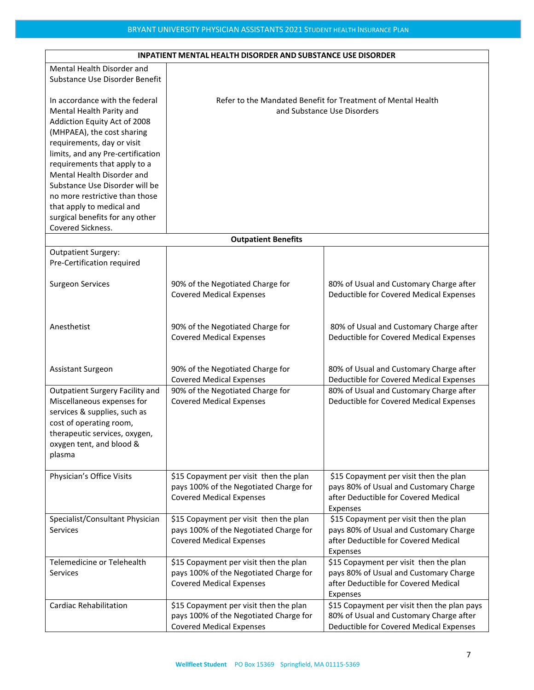| <b>INPATIENT MENTAL HEALTH DISORDER AND SUBSTANCE USE DISORDER</b> |                                        |                                                              |  |
|--------------------------------------------------------------------|----------------------------------------|--------------------------------------------------------------|--|
| Mental Health Disorder and                                         |                                        |                                                              |  |
| Substance Use Disorder Benefit                                     |                                        |                                                              |  |
|                                                                    |                                        |                                                              |  |
| In accordance with the federal                                     |                                        | Refer to the Mandated Benefit for Treatment of Mental Health |  |
| Mental Health Parity and                                           |                                        | and Substance Use Disorders                                  |  |
| Addiction Equity Act of 2008                                       |                                        |                                                              |  |
| (MHPAEA), the cost sharing                                         |                                        |                                                              |  |
| requirements, day or visit                                         |                                        |                                                              |  |
| limits, and any Pre-certification                                  |                                        |                                                              |  |
| requirements that apply to a                                       |                                        |                                                              |  |
| Mental Health Disorder and                                         |                                        |                                                              |  |
|                                                                    |                                        |                                                              |  |
| Substance Use Disorder will be                                     |                                        |                                                              |  |
| no more restrictive than those                                     |                                        |                                                              |  |
| that apply to medical and                                          |                                        |                                                              |  |
| surgical benefits for any other                                    |                                        |                                                              |  |
| Covered Sickness.                                                  |                                        |                                                              |  |
|                                                                    | <b>Outpatient Benefits</b>             |                                                              |  |
| <b>Outpatient Surgery:</b>                                         |                                        |                                                              |  |
| Pre-Certification required                                         |                                        |                                                              |  |
|                                                                    |                                        |                                                              |  |
| <b>Surgeon Services</b>                                            | 90% of the Negotiated Charge for       | 80% of Usual and Customary Charge after                      |  |
|                                                                    | <b>Covered Medical Expenses</b>        | Deductible for Covered Medical Expenses                      |  |
|                                                                    |                                        |                                                              |  |
|                                                                    |                                        |                                                              |  |
| Anesthetist                                                        | 90% of the Negotiated Charge for       | 80% of Usual and Customary Charge after                      |  |
|                                                                    | <b>Covered Medical Expenses</b>        | Deductible for Covered Medical Expenses                      |  |
|                                                                    |                                        |                                                              |  |
|                                                                    |                                        |                                                              |  |
| <b>Assistant Surgeon</b>                                           | 90% of the Negotiated Charge for       | 80% of Usual and Customary Charge after                      |  |
|                                                                    | <b>Covered Medical Expenses</b>        | Deductible for Covered Medical Expenses                      |  |
| <b>Outpatient Surgery Facility and</b>                             | 90% of the Negotiated Charge for       | 80% of Usual and Customary Charge after                      |  |
| Miscellaneous expenses for                                         | <b>Covered Medical Expenses</b>        | Deductible for Covered Medical Expenses                      |  |
| services & supplies, such as                                       |                                        |                                                              |  |
|                                                                    |                                        |                                                              |  |
| cost of operating room,                                            |                                        |                                                              |  |
| therapeutic services, oxygen,                                      |                                        |                                                              |  |
| oxygen tent, and blood &                                           |                                        |                                                              |  |
| plasma                                                             |                                        |                                                              |  |
|                                                                    |                                        |                                                              |  |
| Physician's Office Visits                                          | \$15 Copayment per visit then the plan | \$15 Copayment per visit then the plan                       |  |
|                                                                    | pays 100% of the Negotiated Charge for | pays 80% of Usual and Customary Charge                       |  |
|                                                                    | <b>Covered Medical Expenses</b>        | after Deductible for Covered Medical                         |  |
|                                                                    |                                        | Expenses                                                     |  |
| Specialist/Consultant Physician                                    | \$15 Copayment per visit then the plan | \$15 Copayment per visit then the plan                       |  |
| Services                                                           | pays 100% of the Negotiated Charge for | pays 80% of Usual and Customary Charge                       |  |
|                                                                    | <b>Covered Medical Expenses</b>        | after Deductible for Covered Medical                         |  |
|                                                                    |                                        | Expenses                                                     |  |
| Telemedicine or Telehealth                                         | \$15 Copayment per visit then the plan | \$15 Copayment per visit then the plan                       |  |
| <b>Services</b>                                                    | pays 100% of the Negotiated Charge for | pays 80% of Usual and Customary Charge                       |  |
|                                                                    | <b>Covered Medical Expenses</b>        | after Deductible for Covered Medical                         |  |
|                                                                    |                                        | Expenses                                                     |  |
| <b>Cardiac Rehabilitation</b>                                      | \$15 Copayment per visit then the plan | \$15 Copayment per visit then the plan pays                  |  |
|                                                                    | pays 100% of the Negotiated Charge for | 80% of Usual and Customary Charge after                      |  |
|                                                                    | <b>Covered Medical Expenses</b>        | Deductible for Covered Medical Expenses                      |  |

## **INPATIENT MENTAL HEALTH DISORDER AND SUBSTANCE USE DISORDER**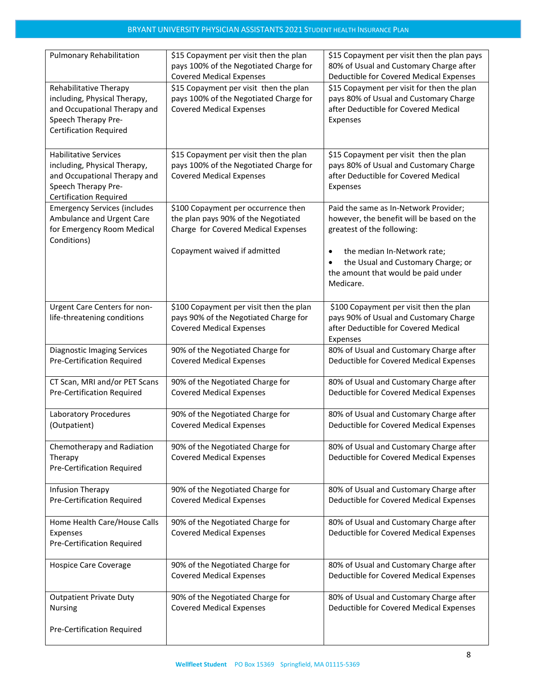| <b>Pulmonary Rehabilitation</b>                                                                                                                      | \$15 Copayment per visit then the plan<br>pays 100% of the Negotiated Charge for<br><b>Covered Medical Expenses</b> | \$15 Copayment per visit then the plan pays<br>80% of Usual and Customary Charge after<br>Deductible for Covered Medical Expenses        |
|------------------------------------------------------------------------------------------------------------------------------------------------------|---------------------------------------------------------------------------------------------------------------------|------------------------------------------------------------------------------------------------------------------------------------------|
| Rehabilitative Therapy<br>including, Physical Therapy,<br>and Occupational Therapy and<br>Speech Therapy Pre-<br><b>Certification Required</b>       | \$15 Copayment per visit then the plan<br>pays 100% of the Negotiated Charge for<br><b>Covered Medical Expenses</b> | \$15 Copayment per visit for then the plan<br>pays 80% of Usual and Customary Charge<br>after Deductible for Covered Medical<br>Expenses |
| <b>Habilitative Services</b><br>including, Physical Therapy,<br>and Occupational Therapy and<br>Speech Therapy Pre-<br><b>Certification Required</b> | \$15 Copayment per visit then the plan<br>pays 100% of the Negotiated Charge for<br><b>Covered Medical Expenses</b> | \$15 Copayment per visit then the plan<br>pays 80% of Usual and Customary Charge<br>after Deductible for Covered Medical<br>Expenses     |
| <b>Emergency Services (includes</b><br>Ambulance and Urgent Care<br>for Emergency Room Medical<br>Conditions)                                        | \$100 Copayment per occurrence then<br>the plan pays 90% of the Negotiated<br>Charge for Covered Medical Expenses   | Paid the same as In-Network Provider;<br>however, the benefit will be based on the<br>greatest of the following:                         |
|                                                                                                                                                      | Copayment waived if admitted                                                                                        | the median In-Network rate;<br>$\bullet$<br>the Usual and Customary Charge; or<br>the amount that would be paid under<br>Medicare.       |
| Urgent Care Centers for non-<br>life-threatening conditions                                                                                          | \$100 Copayment per visit then the plan<br>pays 90% of the Negotiated Charge for<br><b>Covered Medical Expenses</b> | \$100 Copayment per visit then the plan<br>pays 90% of Usual and Customary Charge<br>after Deductible for Covered Medical<br>Expenses    |
| <b>Diagnostic Imaging Services</b><br>Pre-Certification Required                                                                                     | 90% of the Negotiated Charge for<br><b>Covered Medical Expenses</b>                                                 | 80% of Usual and Customary Charge after<br>Deductible for Covered Medical Expenses                                                       |
| CT Scan, MRI and/or PET Scans<br>Pre-Certification Required                                                                                          | 90% of the Negotiated Charge for<br><b>Covered Medical Expenses</b>                                                 | 80% of Usual and Customary Charge after<br>Deductible for Covered Medical Expenses                                                       |
| <b>Laboratory Procedures</b><br>(Outpatient)                                                                                                         | 90% of the Negotiated Charge for<br><b>Covered Medical Expenses</b>                                                 | 80% of Usual and Customary Charge after<br>Deductible for Covered Medical Expenses                                                       |
| Chemotherapy and Radiation<br>Therapy<br><b>Pre-Certification Required</b>                                                                           | 90% of the Negotiated Charge for<br><b>Covered Medical Expenses</b>                                                 | 80% of Usual and Customary Charge after<br>Deductible for Covered Medical Expenses                                                       |
| Infusion Therapy<br><b>Pre-Certification Required</b>                                                                                                | 90% of the Negotiated Charge for<br><b>Covered Medical Expenses</b>                                                 | 80% of Usual and Customary Charge after<br>Deductible for Covered Medical Expenses                                                       |
| Home Health Care/House Calls<br>Expenses<br>Pre-Certification Required                                                                               | 90% of the Negotiated Charge for<br><b>Covered Medical Expenses</b>                                                 | 80% of Usual and Customary Charge after<br>Deductible for Covered Medical Expenses                                                       |
| <b>Hospice Care Coverage</b>                                                                                                                         | 90% of the Negotiated Charge for<br><b>Covered Medical Expenses</b>                                                 | 80% of Usual and Customary Charge after<br>Deductible for Covered Medical Expenses                                                       |
| <b>Outpatient Private Duty</b><br><b>Nursing</b>                                                                                                     | 90% of the Negotiated Charge for<br><b>Covered Medical Expenses</b>                                                 | 80% of Usual and Customary Charge after<br>Deductible for Covered Medical Expenses                                                       |
| Pre-Certification Required                                                                                                                           |                                                                                                                     |                                                                                                                                          |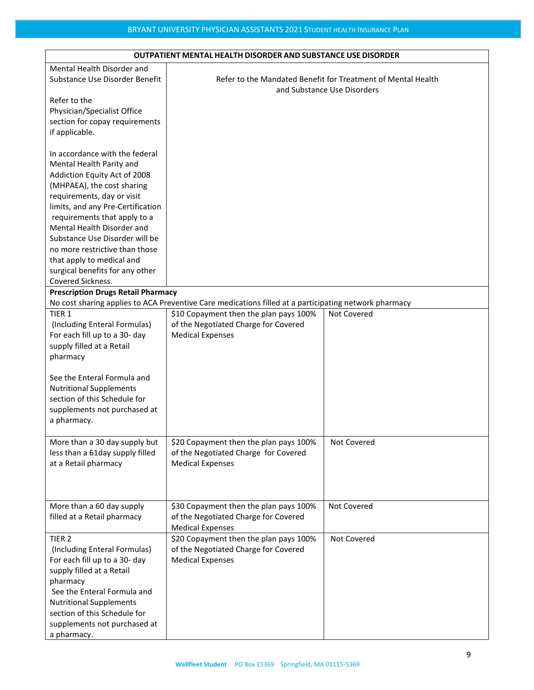| <b>OUTPATIENT MENTAL HEALTH DISORDER AND SUBSTANCE USE DISORDER</b>                                                                                                                                                                                                                                                                                                                                                |                                                                                                                                                                                                                    |             |  |
|--------------------------------------------------------------------------------------------------------------------------------------------------------------------------------------------------------------------------------------------------------------------------------------------------------------------------------------------------------------------------------------------------------------------|--------------------------------------------------------------------------------------------------------------------------------------------------------------------------------------------------------------------|-------------|--|
| Mental Health Disorder and<br>Substance Use Disorder Benefit                                                                                                                                                                                                                                                                                                                                                       | Refer to the Mandated Benefit for Treatment of Mental Health<br>and Substance Use Disorders                                                                                                                        |             |  |
| Refer to the<br>Physician/Specialist Office<br>section for copay requirements<br>if applicable.                                                                                                                                                                                                                                                                                                                    |                                                                                                                                                                                                                    |             |  |
| In accordance with the federal<br>Mental Health Parity and<br>Addiction Equity Act of 2008<br>(MHPAEA), the cost sharing<br>requirements, day or visit<br>limits, and any Pre-Certification<br>requirements that apply to a<br>Mental Health Disorder and<br>Substance Use Disorder will be<br>no more restrictive than those<br>that apply to medical and<br>surgical benefits for any other<br>Covered Sickness. |                                                                                                                                                                                                                    |             |  |
| <b>Prescription Drugs Retail Pharmacy</b>                                                                                                                                                                                                                                                                                                                                                                          |                                                                                                                                                                                                                    |             |  |
| TIER <sub>1</sub><br>(Including Enteral Formulas)<br>For each fill up to a 30- day<br>supply filled at a Retail<br>pharmacy<br>See the Enteral Formula and                                                                                                                                                                                                                                                         | No cost sharing applies to ACA Preventive Care medications filled at a participating network pharmacy<br>\$10 Copayment then the plan pays 100%<br>of the Negotiated Charge for Covered<br><b>Medical Expenses</b> | Not Covered |  |
| <b>Nutritional Supplements</b><br>section of this Schedule for<br>supplements not purchased at<br>a pharmacy.                                                                                                                                                                                                                                                                                                      |                                                                                                                                                                                                                    |             |  |
| More than a 30 day supply but<br>less than a 61day supply filled<br>at a Retail pharmacy                                                                                                                                                                                                                                                                                                                           | \$20 Copayment then the plan pays 100%<br>of the Negotiated Charge for Covered<br><b>Medical Expenses</b>                                                                                                          | Not Covered |  |
| More than a 60 day supply<br>filled at a Retail pharmacy                                                                                                                                                                                                                                                                                                                                                           | \$30 Copayment then the plan pays 100%<br>of the Negotiated Charge for Covered<br><b>Medical Expenses</b>                                                                                                          | Not Covered |  |
| TIER <sub>2</sub><br>(Including Enteral Formulas)<br>For each fill up to a 30- day<br>supply filled at a Retail<br>pharmacy<br>See the Enteral Formula and<br><b>Nutritional Supplements</b><br>section of this Schedule for<br>supplements not purchased at<br>a pharmacy.                                                                                                                                        | \$20 Copayment then the plan pays 100%<br>of the Negotiated Charge for Covered<br><b>Medical Expenses</b>                                                                                                          | Not Covered |  |

## **OUTPATIENT MENTAL HEALTH DISORDER AND SUBSTANCE USE DISORDER**

┑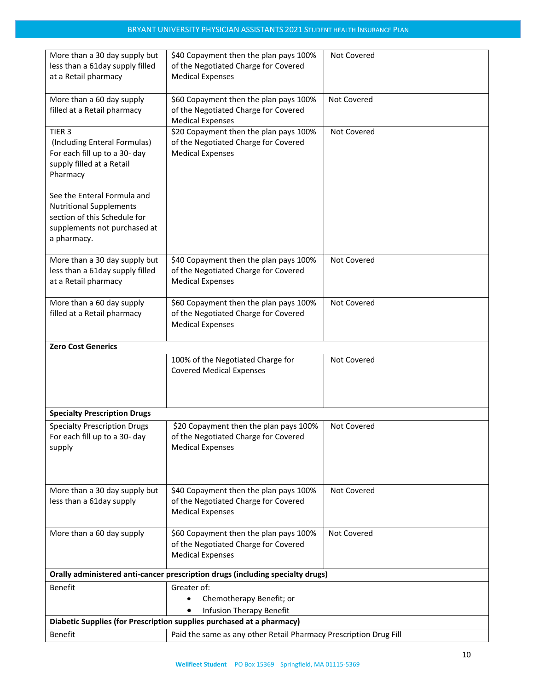| More than a 30 day supply but<br>less than a 61day supply filled<br>at a Retail pharmacy                                                     | \$40 Copayment then the plan pays 100%<br>of the Negotiated Charge for Covered<br><b>Medical Expenses</b> | Not Covered |
|----------------------------------------------------------------------------------------------------------------------------------------------|-----------------------------------------------------------------------------------------------------------|-------------|
| More than a 60 day supply<br>filled at a Retail pharmacy                                                                                     | \$60 Copayment then the plan pays 100%<br>of the Negotiated Charge for Covered<br><b>Medical Expenses</b> | Not Covered |
| TIER <sub>3</sub><br>(Including Enteral Formulas)<br>For each fill up to a 30- day<br>supply filled at a Retail<br>Pharmacy                  | \$20 Copayment then the plan pays 100%<br>of the Negotiated Charge for Covered<br><b>Medical Expenses</b> | Not Covered |
| See the Enteral Formula and<br><b>Nutritional Supplements</b><br>section of this Schedule for<br>supplements not purchased at<br>a pharmacy. |                                                                                                           |             |
| More than a 30 day supply but<br>less than a 61day supply filled<br>at a Retail pharmacy                                                     | \$40 Copayment then the plan pays 100%<br>of the Negotiated Charge for Covered<br><b>Medical Expenses</b> | Not Covered |
| More than a 60 day supply<br>filled at a Retail pharmacy                                                                                     | \$60 Copayment then the plan pays 100%<br>of the Negotiated Charge for Covered<br><b>Medical Expenses</b> | Not Covered |
| <b>Zero Cost Generics</b>                                                                                                                    |                                                                                                           |             |
|                                                                                                                                              | 100% of the Negotiated Charge for<br><b>Covered Medical Expenses</b>                                      | Not Covered |
| <b>Specialty Prescription Drugs</b>                                                                                                          |                                                                                                           |             |
| <b>Specialty Prescription Drugs</b><br>For each fill up to a 30- day<br>supply                                                               | \$20 Copayment then the plan pays 100%<br>of the Negotiated Charge for Covered<br><b>Medical Expenses</b> | Not Covered |
| More than a 30 day supply but<br>less than a 61day supply                                                                                    | \$40 Copayment then the plan pays 100%<br>of the Negotiated Charge for Covered<br><b>Medical Expenses</b> | Not Covered |
| More than a 60 day supply                                                                                                                    | \$60 Copayment then the plan pays 100%<br>of the Negotiated Charge for Covered<br><b>Medical Expenses</b> | Not Covered |
|                                                                                                                                              | Orally administered anti-cancer prescription drugs (including specialty drugs)                            |             |
| <b>Benefit</b>                                                                                                                               | Greater of:                                                                                               |             |
|                                                                                                                                              | Chemotherapy Benefit; or<br>$\bullet$<br><b>Infusion Therapy Benefit</b>                                  |             |
|                                                                                                                                              | Diabetic Supplies (for Prescription supplies purchased at a pharmacy)                                     |             |
| Benefit                                                                                                                                      | Paid the same as any other Retail Pharmacy Prescription Drug Fill                                         |             |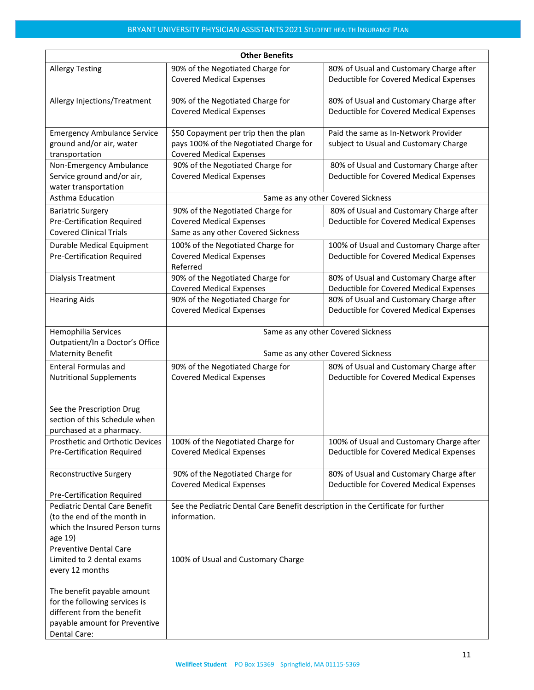| <b>Other Benefits</b>                                                                                                                                                                             |                                                                                                                                        |                                                                                     |  |  |
|---------------------------------------------------------------------------------------------------------------------------------------------------------------------------------------------------|----------------------------------------------------------------------------------------------------------------------------------------|-------------------------------------------------------------------------------------|--|--|
| <b>Allergy Testing</b>                                                                                                                                                                            | 90% of the Negotiated Charge for<br><b>Covered Medical Expenses</b>                                                                    | 80% of Usual and Customary Charge after<br>Deductible for Covered Medical Expenses  |  |  |
| Allergy Injections/Treatment                                                                                                                                                                      | 90% of the Negotiated Charge for<br><b>Covered Medical Expenses</b>                                                                    | 80% of Usual and Customary Charge after<br>Deductible for Covered Medical Expenses  |  |  |
| <b>Emergency Ambulance Service</b><br>ground and/or air, water<br>transportation                                                                                                                  | \$50 Copayment per trip then the plan<br>pays 100% of the Negotiated Charge for<br><b>Covered Medical Expenses</b>                     | Paid the same as In-Network Provider<br>subject to Usual and Customary Charge       |  |  |
| Non-Emergency Ambulance<br>Service ground and/or air,<br>water transportation                                                                                                                     | 90% of the Negotiated Charge for<br><b>Covered Medical Expenses</b>                                                                    | 80% of Usual and Customary Charge after<br>Deductible for Covered Medical Expenses  |  |  |
| Asthma Education                                                                                                                                                                                  |                                                                                                                                        | Same as any other Covered Sickness                                                  |  |  |
| <b>Bariatric Surgery</b><br><b>Pre-Certification Required</b>                                                                                                                                     | 90% of the Negotiated Charge for<br><b>Covered Medical Expenses</b>                                                                    | 80% of Usual and Customary Charge after<br>Deductible for Covered Medical Expenses  |  |  |
| <b>Covered Clinical Trials</b>                                                                                                                                                                    | Same as any other Covered Sickness                                                                                                     |                                                                                     |  |  |
| <b>Durable Medical Equipment</b><br><b>Pre-Certification Required</b>                                                                                                                             | 100% of the Negotiated Charge for<br><b>Covered Medical Expenses</b><br>Referred                                                       | 100% of Usual and Customary Charge after<br>Deductible for Covered Medical Expenses |  |  |
| Dialysis Treatment                                                                                                                                                                                | 90% of the Negotiated Charge for<br><b>Covered Medical Expenses</b>                                                                    | 80% of Usual and Customary Charge after<br>Deductible for Covered Medical Expenses  |  |  |
| <b>Hearing Aids</b>                                                                                                                                                                               | 90% of the Negotiated Charge for<br><b>Covered Medical Expenses</b>                                                                    | 80% of Usual and Customary Charge after<br>Deductible for Covered Medical Expenses  |  |  |
| Hemophilia Services<br>Outpatient/In a Doctor's Office                                                                                                                                            | Same as any other Covered Sickness                                                                                                     |                                                                                     |  |  |
| <b>Maternity Benefit</b>                                                                                                                                                                          | Same as any other Covered Sickness                                                                                                     |                                                                                     |  |  |
| <b>Enteral Formulas and</b><br><b>Nutritional Supplements</b>                                                                                                                                     | 90% of the Negotiated Charge for<br><b>Covered Medical Expenses</b>                                                                    | 80% of Usual and Customary Charge after<br>Deductible for Covered Medical Expenses  |  |  |
| See the Prescription Drug<br>section of this Schedule when<br>purchased at a pharmacy.                                                                                                            |                                                                                                                                        |                                                                                     |  |  |
| Prosthetic and Orthotic Devices<br>Pre-Certification Required                                                                                                                                     | 100% of the Negotiated Charge for<br><b>Covered Medical Expenses</b>                                                                   | 100% of Usual and Customary Charge after<br>Deductible for Covered Medical Expenses |  |  |
| <b>Reconstructive Surgery</b><br>Pre-Certification Required                                                                                                                                       | 90% of the Negotiated Charge for<br><b>Covered Medical Expenses</b>                                                                    | 80% of Usual and Customary Charge after<br>Deductible for Covered Medical Expenses  |  |  |
| <b>Pediatric Dental Care Benefit</b><br>(to the end of the month in<br>which the Insured Person turns<br>age 19)<br><b>Preventive Dental Care</b><br>Limited to 2 dental exams<br>every 12 months | See the Pediatric Dental Care Benefit description in the Certificate for further<br>information.<br>100% of Usual and Customary Charge |                                                                                     |  |  |
| The benefit payable amount<br>for the following services is<br>different from the benefit<br>payable amount for Preventive<br>Dental Care:                                                        |                                                                                                                                        |                                                                                     |  |  |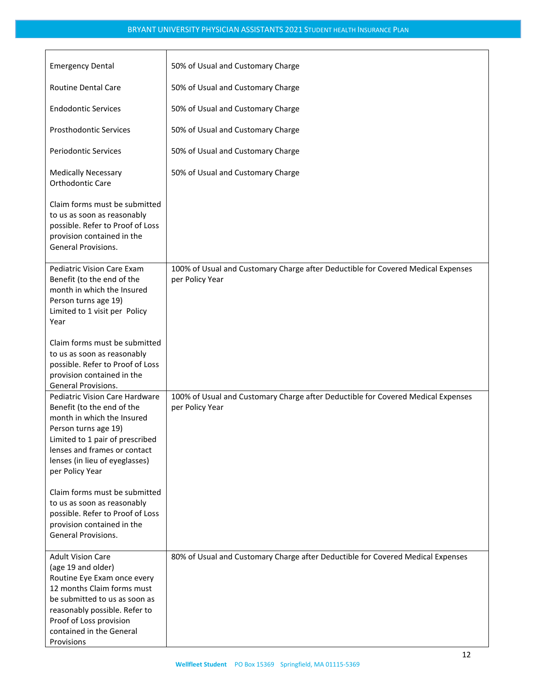| <b>Emergency Dental</b>                                                                                                                                                                                                                            | 50% of Usual and Customary Charge                                                                   |
|----------------------------------------------------------------------------------------------------------------------------------------------------------------------------------------------------------------------------------------------------|-----------------------------------------------------------------------------------------------------|
| <b>Routine Dental Care</b>                                                                                                                                                                                                                         | 50% of Usual and Customary Charge                                                                   |
| <b>Endodontic Services</b>                                                                                                                                                                                                                         | 50% of Usual and Customary Charge                                                                   |
| <b>Prosthodontic Services</b>                                                                                                                                                                                                                      | 50% of Usual and Customary Charge                                                                   |
| <b>Periodontic Services</b>                                                                                                                                                                                                                        | 50% of Usual and Customary Charge                                                                   |
| <b>Medically Necessary</b><br>Orthodontic Care                                                                                                                                                                                                     | 50% of Usual and Customary Charge                                                                   |
| Claim forms must be submitted<br>to us as soon as reasonably<br>possible. Refer to Proof of Loss<br>provision contained in the<br>General Provisions.                                                                                              |                                                                                                     |
| Pediatric Vision Care Exam<br>Benefit (to the end of the<br>month in which the Insured<br>Person turns age 19)<br>Limited to 1 visit per Policy<br>Year                                                                                            | 100% of Usual and Customary Charge after Deductible for Covered Medical Expenses<br>per Policy Year |
| Claim forms must be submitted<br>to us as soon as reasonably<br>possible. Refer to Proof of Loss<br>provision contained in the<br>General Provisions.                                                                                              |                                                                                                     |
| <b>Pediatric Vision Care Hardware</b><br>Benefit (to the end of the<br>month in which the Insured<br>Person turns age 19)<br>Limited to 1 pair of prescribed<br>lenses and frames or contact<br>lenses (in lieu of eyeglasses)<br>per Policy Year  | 100% of Usual and Customary Charge after Deductible for Covered Medical Expenses<br>per Policy Year |
| Claim forms must be submitted<br>to us as soon as reasonably<br>possible. Refer to Proof of Loss<br>provision contained in the<br>General Provisions.                                                                                              |                                                                                                     |
| <b>Adult Vision Care</b><br>(age 19 and older)<br>Routine Eye Exam once every<br>12 months Claim forms must<br>be submitted to us as soon as<br>reasonably possible. Refer to<br>Proof of Loss provision<br>contained in the General<br>Provisions | 80% of Usual and Customary Charge after Deductible for Covered Medical Expenses                     |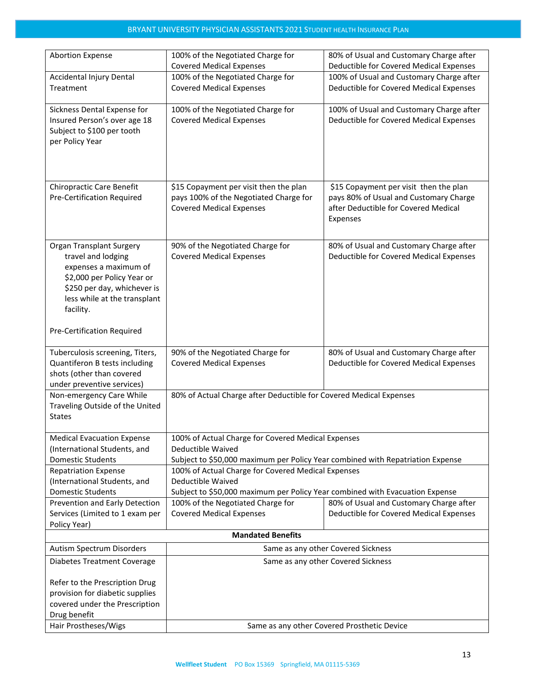| <b>Abortion Expense</b>                                        | 100% of the Negotiated Charge for                                                | 80% of Usual and Customary Charge after                                          |  |
|----------------------------------------------------------------|----------------------------------------------------------------------------------|----------------------------------------------------------------------------------|--|
|                                                                | <b>Covered Medical Expenses</b>                                                  | Deductible for Covered Medical Expenses                                          |  |
| <b>Accidental Injury Dental</b>                                | 100% of the Negotiated Charge for                                                | 100% of Usual and Customary Charge after                                         |  |
| Treatment                                                      | <b>Covered Medical Expenses</b>                                                  | Deductible for Covered Medical Expenses                                          |  |
| Sickness Dental Expense for                                    | 100% of the Negotiated Charge for                                                | 100% of Usual and Customary Charge after                                         |  |
| Insured Person's over age 18                                   | <b>Covered Medical Expenses</b>                                                  | Deductible for Covered Medical Expenses                                          |  |
| Subject to \$100 per tooth                                     |                                                                                  |                                                                                  |  |
| per Policy Year                                                |                                                                                  |                                                                                  |  |
|                                                                |                                                                                  |                                                                                  |  |
|                                                                |                                                                                  |                                                                                  |  |
|                                                                |                                                                                  |                                                                                  |  |
| <b>Chiropractic Care Benefit</b><br>Pre-Certification Required | \$15 Copayment per visit then the plan<br>pays 100% of the Negotiated Charge for | \$15 Copayment per visit then the plan<br>pays 80% of Usual and Customary Charge |  |
|                                                                | <b>Covered Medical Expenses</b>                                                  | after Deductible for Covered Medical                                             |  |
|                                                                |                                                                                  | Expenses                                                                         |  |
|                                                                |                                                                                  |                                                                                  |  |
| Organ Transplant Surgery                                       | 90% of the Negotiated Charge for                                                 | 80% of Usual and Customary Charge after                                          |  |
| travel and lodging                                             | <b>Covered Medical Expenses</b>                                                  | Deductible for Covered Medical Expenses                                          |  |
| expenses a maximum of                                          |                                                                                  |                                                                                  |  |
| \$2,000 per Policy Year or                                     |                                                                                  |                                                                                  |  |
| \$250 per day, whichever is                                    |                                                                                  |                                                                                  |  |
| less while at the transplant<br>facility.                      |                                                                                  |                                                                                  |  |
|                                                                |                                                                                  |                                                                                  |  |
| Pre-Certification Required                                     |                                                                                  |                                                                                  |  |
| Tuberculosis screening, Titers,                                | 90% of the Negotiated Charge for                                                 | 80% of Usual and Customary Charge after                                          |  |
| Quantiferon B tests including                                  | <b>Covered Medical Expenses</b>                                                  | Deductible for Covered Medical Expenses                                          |  |
| shots (other than covered                                      |                                                                                  |                                                                                  |  |
| under preventive services)                                     |                                                                                  |                                                                                  |  |
| Non-emergency Care While<br>Traveling Outside of the United    | 80% of Actual Charge after Deductible for Covered Medical Expenses               |                                                                                  |  |
| <b>States</b>                                                  |                                                                                  |                                                                                  |  |
|                                                                |                                                                                  |                                                                                  |  |
| <b>Medical Evacuation Expense</b>                              | 100% of Actual Charge for Covered Medical Expenses                               |                                                                                  |  |
| (International Students, and                                   |                                                                                  | Deductible Waived                                                                |  |
| <b>Domestic Students</b><br><b>Repatriation Expense</b>        | Subject to \$50,000 maximum per Policy Year combined with Repatriation Expense   |                                                                                  |  |
| (International Students, and                                   | 100% of Actual Charge for Covered Medical Expenses<br>Deductible Waived          |                                                                                  |  |
| <b>Domestic Students</b>                                       | Subject to \$50,000 maximum per Policy Year combined with Evacuation Expense     |                                                                                  |  |
| Prevention and Early Detection                                 | 100% of the Negotiated Charge for                                                | 80% of Usual and Customary Charge after                                          |  |
| Services (Limited to 1 exam per                                | <b>Covered Medical Expenses</b>                                                  | Deductible for Covered Medical Expenses                                          |  |
| Policy Year)                                                   |                                                                                  |                                                                                  |  |
| <b>Mandated Benefits</b>                                       |                                                                                  |                                                                                  |  |
| Autism Spectrum Disorders                                      |                                                                                  | Same as any other Covered Sickness                                               |  |
| <b>Diabetes Treatment Coverage</b>                             | Same as any other Covered Sickness                                               |                                                                                  |  |
| Refer to the Prescription Drug                                 |                                                                                  |                                                                                  |  |
| provision for diabetic supplies                                |                                                                                  |                                                                                  |  |
| covered under the Prescription                                 |                                                                                  |                                                                                  |  |
| Drug benefit                                                   |                                                                                  |                                                                                  |  |
| Hair Prostheses/Wigs                                           |                                                                                  | Same as any other Covered Prosthetic Device                                      |  |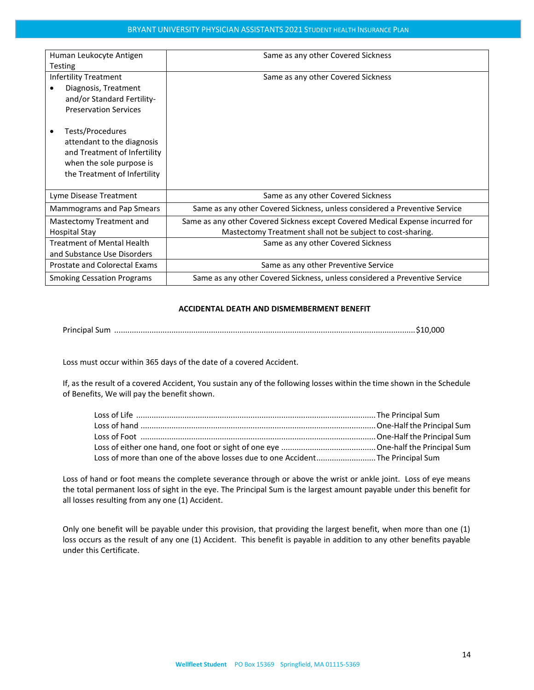| Human Leukocyte Antigen<br><b>Testing</b>          | Same as any other Covered Sickness                                             |  |
|----------------------------------------------------|--------------------------------------------------------------------------------|--|
| <b>Infertility Treatment</b>                       | Same as any other Covered Sickness                                             |  |
| Diagnosis, Treatment<br>and/or Standard Fertility- |                                                                                |  |
| <b>Preservation Services</b>                       |                                                                                |  |
| Tests/Procedures                                   |                                                                                |  |
| attendant to the diagnosis                         |                                                                                |  |
| and Treatment of Infertility                       |                                                                                |  |
| when the sole purpose is                           |                                                                                |  |
| the Treatment of Infertility                       |                                                                                |  |
| Lyme Disease Treatment                             | Same as any other Covered Sickness                                             |  |
| Mammograms and Pap Smears                          | Same as any other Covered Sickness, unless considered a Preventive Service     |  |
| Mastectomy Treatment and                           | Same as any other Covered Sickness except Covered Medical Expense incurred for |  |
| <b>Hospital Stay</b>                               | Mastectomy Treatment shall not be subject to cost-sharing.                     |  |
| <b>Treatment of Mental Health</b>                  | Same as any other Covered Sickness                                             |  |
| and Substance Use Disorders                        |                                                                                |  |
| <b>Prostate and Colorectal Exams</b>               | Same as any other Preventive Service                                           |  |
| <b>Smoking Cessation Programs</b>                  | Same as any other Covered Sickness, unless considered a Preventive Service     |  |

#### **ACCIDENTAL DEATH AND DISMEMBERMENT BENEFIT**

Principal Sum .........................................................................................................................................\$10,000

Loss must occur within 365 days of the date of a covered Accident.

If, as the result of a covered Accident, You sustain any of the following losses within the time shown in the Schedule of Benefits, We will pay the benefit shown.

| Loss of more than one of the above losses due to one Accident The Principal Sum |  |
|---------------------------------------------------------------------------------|--|

Loss of hand or foot means the complete severance through or above the wrist or ankle joint. Loss of eye means the total permanent loss of sight in the eye. The Principal Sum is the largest amount payable under this benefit for all losses resulting from any one (1) Accident.

Only one benefit will be payable under this provision, that providing the largest benefit, when more than one (1) loss occurs as the result of any one (1) Accident. This benefit is payable in addition to any other benefits payable under this Certificate.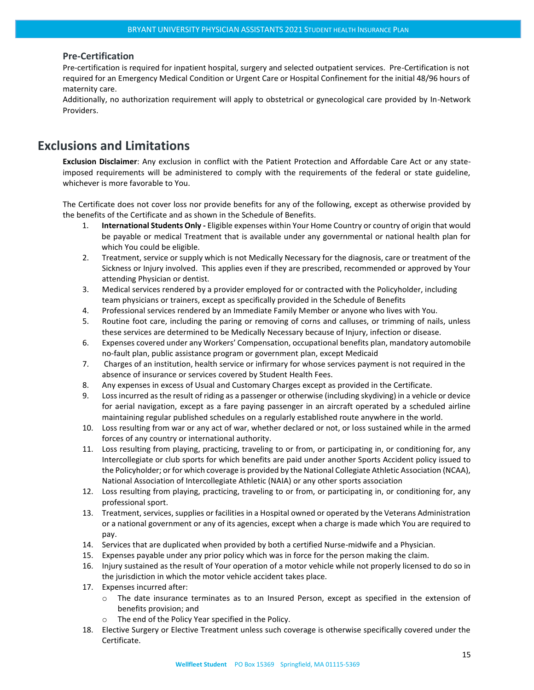#### <span id="page-14-0"></span>**Pre-Certification**

Pre-certification is required for inpatient hospital, surgery and selected outpatient services. Pre-Certification is not required for an Emergency Medical Condition or Urgent Care or Hospital Confinement for the initial 48/96 hours of maternity care.

Additionally, no authorization requirement will apply to obstetrical or gynecological care provided by In-Network Providers.

## <span id="page-14-1"></span>**Exclusions and Limitations**

**Exclusion Disclaimer**: Any exclusion in conflict with the Patient Protection and Affordable Care Act or any stateimposed requirements will be administered to comply with the requirements of the federal or state guideline, whichever is more favorable to You.

The Certificate does not cover loss nor provide benefits for any of the following, except as otherwise provided by the benefits of the Certificate and as shown in the Schedule of Benefits.

- 1. **International Students Only -** Eligible expenses within Your Home Country or country of origin that would be payable or medical Treatment that is available under any governmental or national health plan for which You could be eligible.
- 2. Treatment, service or supply which is not Medically Necessary for the diagnosis, care or treatment of the Sickness or Injury involved. This applies even if they are prescribed, recommended or approved by Your attending Physician or dentist.
- 3. Medical services rendered by a provider employed for or contracted with the Policyholder, including team physicians or trainers, except as specifically provided in the Schedule of Benefits
- 4. Professional services rendered by an Immediate Family Member or anyone who lives with You.
- 5. Routine foot care, including the paring or removing of corns and calluses, or trimming of nails, unless these services are determined to be Medically Necessary because of Injury, infection or disease.
- 6. Expenses covered under any Workers' Compensation, occupational benefits plan, mandatory automobile no-fault plan, public assistance program or government plan, except Medicaid
- 7. Charges of an institution, health service or infirmary for whose services payment is not required in the absence of insurance or services covered by Student Health Fees.
- 8. Any expenses in excess of Usual and Customary Charges except as provided in the Certificate.
- 9. Loss incurred as the result of riding as a passenger or otherwise (including skydiving) in a vehicle or device for aerial navigation, except as a fare paying passenger in an aircraft operated by a scheduled airline maintaining regular published schedules on a regularly established route anywhere in the world.
- 10. Loss resulting from war or any act of war, whether declared or not, or loss sustained while in the armed forces of any country or international authority.
- 11. Loss resulting from playing, practicing, traveling to or from, or participating in, or conditioning for, any Intercollegiate or club sports for which benefits are paid under another Sports Accident policy issued to the Policyholder; or for which coverage is provided by the National Collegiate Athletic Association (NCAA), National Association of Intercollegiate Athletic (NAIA) or any other sports association
- 12. Loss resulting from playing, practicing, traveling to or from, or participating in, or conditioning for, any professional sport.
- 13. Treatment, services, supplies or facilities in a Hospital owned or operated by the Veterans Administration or a national government or any of its agencies, except when a charge is made which You are required to pay.
- 14. Services that are duplicated when provided by both a certified Nurse-midwife and a Physician.
- 15. Expenses payable under any prior policy which was in force for the person making the claim.
- 16. Injury sustained as the result of Your operation of a motor vehicle while not properly licensed to do so in the jurisdiction in which the motor vehicle accident takes place.
- 17. Expenses incurred after:
	- o The date insurance terminates as to an Insured Person, except as specified in the extension of benefits provision; and
	- o The end of the Policy Year specified in the Policy.
- 18. Elective Surgery or Elective Treatment unless such coverage is otherwise specifically covered under the Certificate.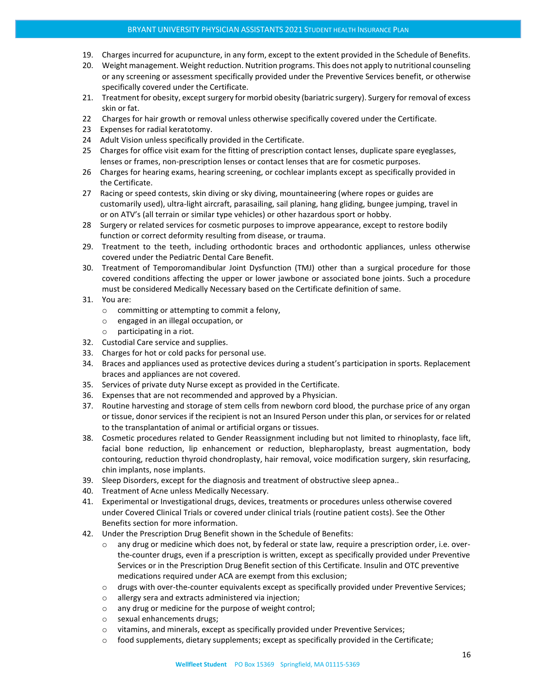- 19. Charges incurred for acupuncture, in any form, except to the extent provided in the Schedule of Benefits.
- 20. Weight management. Weight reduction. Nutrition programs. This does not apply to nutritional counseling or any screening or assessment specifically provided under the Preventive Services benefit, or otherwise specifically covered under the Certificate.
- 21. Treatment for obesity, except surgery for morbid obesity (bariatric surgery). Surgery for removal of excess skin or fat.
- 22 Charges for hair growth or removal unless otherwise specifically covered under the Certificate.
- 23 Expenses for radial keratotomy.
- 24 Adult Vision unless specifically provided in the Certificate.
- 25 Charges for office visit exam for the fitting of prescription contact lenses, duplicate spare eyeglasses, lenses or frames, non-prescription lenses or contact lenses that are for cosmetic purposes.
- 26 Charges for hearing exams, hearing screening, or cochlear implants except as specifically provided in the Certificate.
- 27 Racing or speed contests, skin diving or sky diving, mountaineering (where ropes or guides are customarily used), ultra-light aircraft, parasailing, sail planing, hang gliding, bungee jumping, travel in or on ATV's (all terrain or similar type vehicles) or other hazardous sport or hobby.
- 28 Surgery or related services for cosmetic purposes to improve appearance, except to restore bodily function or correct deformity resulting from disease, or trauma.
- 29. Treatment to the teeth, including orthodontic braces and orthodontic appliances, unless otherwise covered under the Pediatric Dental Care Benefit.
- 30. Treatment of Temporomandibular Joint Dysfunction (TMJ) other than a surgical procedure for those covered conditions affecting the upper or lower jawbone or associated bone joints. Such a procedure must be considered Medically Necessary based on the Certificate definition of same.
- 31. You are:
	- o committing or attempting to commit a felony,
	- o engaged in an illegal occupation, or
	- o participating in a riot.
- 32. Custodial Care service and supplies.
- 33. Charges for hot or cold packs for personal use.
- 34. Braces and appliances used as protective devices during a student's participation in sports. Replacement braces and appliances are not covered.
- 35. Services of private duty Nurse except as provided in the Certificate.
- 36. Expenses that are not recommended and approved by a Physician.
- 37. Routine harvesting and storage of stem cells from newborn cord blood, the purchase price of any organ or tissue, donor services if the recipient is not an Insured Person under this plan, or services for or related to the transplantation of animal or artificial organs or tissues.
- 38. Cosmetic procedures related to Gender Reassignment including but not limited to rhinoplasty, face lift, facial bone reduction, lip enhancement or reduction, blepharoplasty, breast augmentation, body contouring, reduction thyroid chondroplasty, hair removal, voice modification surgery, skin resurfacing, chin implants, nose implants.
- 39. Sleep Disorders, except for the diagnosis and treatment of obstructive sleep apnea..
- 40. Treatment of Acne unless Medically Necessary.
- 41. Experimental or Investigational drugs, devices, treatments or procedures unless otherwise covered under Covered Clinical Trials or covered under clinical trials (routine patient costs). See the Other Benefits section for more information.
- 42. Under the Prescription Drug Benefit shown in the Schedule of Benefits:
	- o any drug or medicine which does not, by federal or state law, require a prescription order, i.e. overthe-counter drugs, even if a prescription is written, except as specifically provided under Preventive Services or in the Prescription Drug Benefit section of this Certificate. Insulin and OTC preventive medications required under ACA are exempt from this exclusion;
	- o drugs with over-the-counter equivalents except as specifically provided under Preventive Services;
	- o allergy sera and extracts administered via injection;
	- o any drug or medicine for the purpose of weight control;
	- o sexual enhancements drugs;
	- o vitamins, and minerals, except as specifically provided under Preventive Services;
	- $\circ$  food supplements, dietary supplements; except as specifically provided in the Certificate;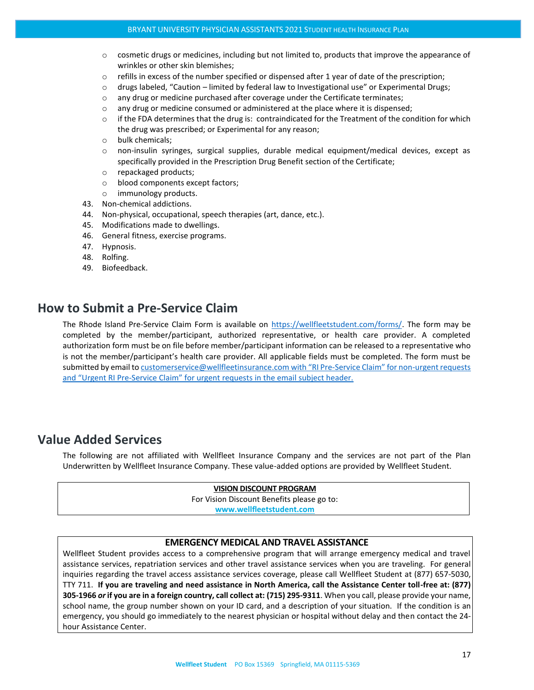- o cosmetic drugs or medicines, including but not limited to, products that improve the appearance of wrinkles or other skin blemishes;
- o refills in excess of the number specified or dispensed after 1 year of date of the prescription;
- o drugs labeled, "Caution limited by federal law to Investigational use" or Experimental Drugs;
- $\circ$  any drug or medicine purchased after coverage under the Certificate terminates;
- $\circ$  any drug or medicine consumed or administered at the place where it is dispensed;
- $\circ$  if the FDA determines that the drug is: contraindicated for the Treatment of the condition for which the drug was prescribed; or Experimental for any reason;
- o bulk chemicals;
- $\circ$  non-insulin syringes, surgical supplies, durable medical equipment/medical devices, except as specifically provided in the Prescription Drug Benefit section of the Certificate;
- o repackaged products;
- o blood components except factors;
- o immunology products.
- 43. Non-chemical addictions.
- 44. Non-physical, occupational, speech therapies (art, dance, etc.).
- 45. Modifications made to dwellings.
- 46. General fitness, exercise programs.
- 47. Hypnosis.
- 48. Rolfing.
- 49. Biofeedback.

## <span id="page-16-0"></span>**How to Submit a Pre-Service Claim**

The Rhode Island Pre-Service Claim Form is available on [https://wellfleetstudent.com/forms/.](https://wellfleetstudent.com/forms/) The form may be completed by the member/participant, authorized representative, or health care provider. A completed authorization form must be on file before member/participant information can be released to a representative who is not the member/participant's health care provider. All applicable fields must be completed. The form must be submitted by email t[o customerservice@wellfleetinsurance.com](mailto:customerservice@wellfleetinsurance.com) with "RI Pre-Service Claim" for non-urgent requests and "Urgent RI Pre-Service Claim" for urgent requests in the email subject header.

## <span id="page-16-1"></span>**Value Added Services**

The following are not affiliated with Wellfleet Insurance Company and the services are not part of the Plan Underwritten by Wellfleet Insurance Company. These value-added options are provided by Wellfleet Student.

#### **VISION DISCOUNT PROGRAM** For Vision Discount Benefits please go to: **[www.wellfleetstudent.com](http://www.chpstudenthealth.com/)**

## **EMERGENCY MEDICAL AND TRAVEL ASSISTANCE**

Wellfleet Student provides access to a comprehensive program that will arrange emergency medical and travel assistance services, repatriation services and other travel assistance services when you are traveling. For general inquiries regarding the travel access assistance services coverage, please call Wellfleet Student at (877) 657-5030, TTY 711. **If you are traveling and need assistance in North America, call the Assistance Center toll-free at: (877) 305-1966** *or* **if you are in a foreign country, call collect at: (715) 295-9311**. When you call, please provide your name, school name, the group number shown on your ID card, and a description of your situation. If the condition is an emergency, you should go immediately to the nearest physician or hospital without delay and then contact the 24 hour Assistance Center.